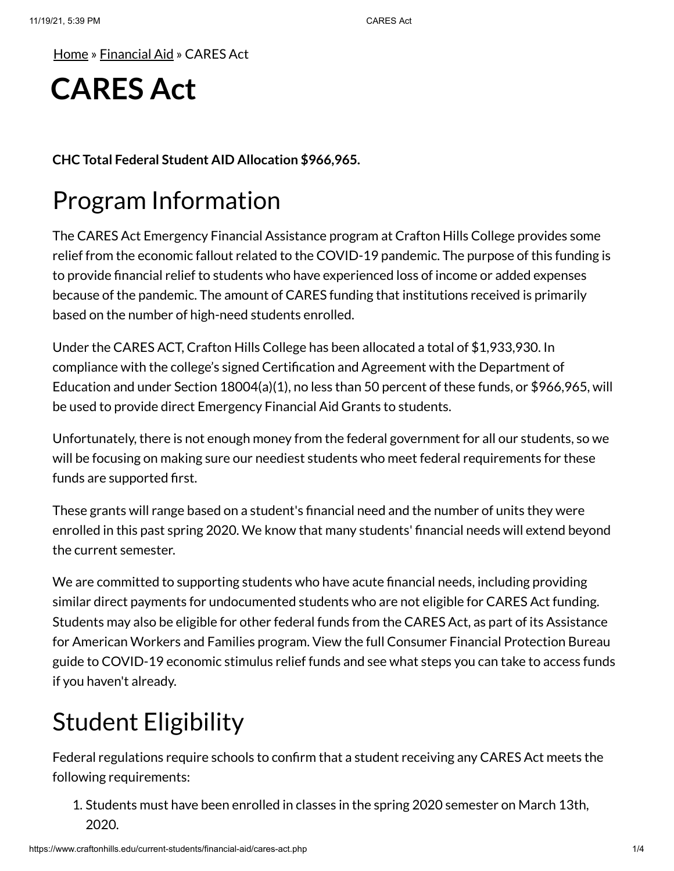[Home](https://www.craftonhills.edu/index.php) » [Financial](https://www.craftonhills.edu/current-students/financial-aid/index.php) Aid » CARES Act

# **CARES Act**

**CHC Total Federal Student AID Allocation \$966,965.**

## Program Information

The CARES Act Emergency Financial Assistance program at Crafton Hills College provides some relief from the economic fallout related to the COVID-19 pandemic. The purpose of this funding is to provide financial relief to students who have experienced loss of income or added expenses because of the pandemic. The amount of CARES funding that institutions received is primarily based on the number of high-need students enrolled.

Under the CARES ACT, Crafton Hills College has been allocated a total of \$1,933,930. In compliance with the college's signed Certification and Agreement with the Department of Education and under Section 18004(a)(1), no less than 50 percent of these funds, or \$966,965, will be used to provide direct Emergency Financial Aid Grants to students.

Unfortunately, there is not enough money from the federal government for all our students, so we will be focusing on making sure our neediest students who meet federal requirements for these funds are supported first.

These grants will range based on a student's financial need and the number of units they were enrolled in this past spring 2020. We know that many students' financial needs will extend beyond the current semester.

We are committed to supporting students who have acute financial needs, including providing similar direct payments for undocumented students who are not eligible for CARES Act funding. Students may also be eligible for other federal funds from the CARES Act, as part of its Assistance for American Workers and Families program. View the full Consumer Financial Protection Bureau guide to COVID-19 economic stimulus relief funds and see what steps you can take to access funds if you haven't already.

# Student Eligibility

Federal regulations require schools to confirm that a student receiving any CARES Act meets the following requirements:

1. Students must have been enrolled in classes in the spring 2020 semester on March 13th, 2020.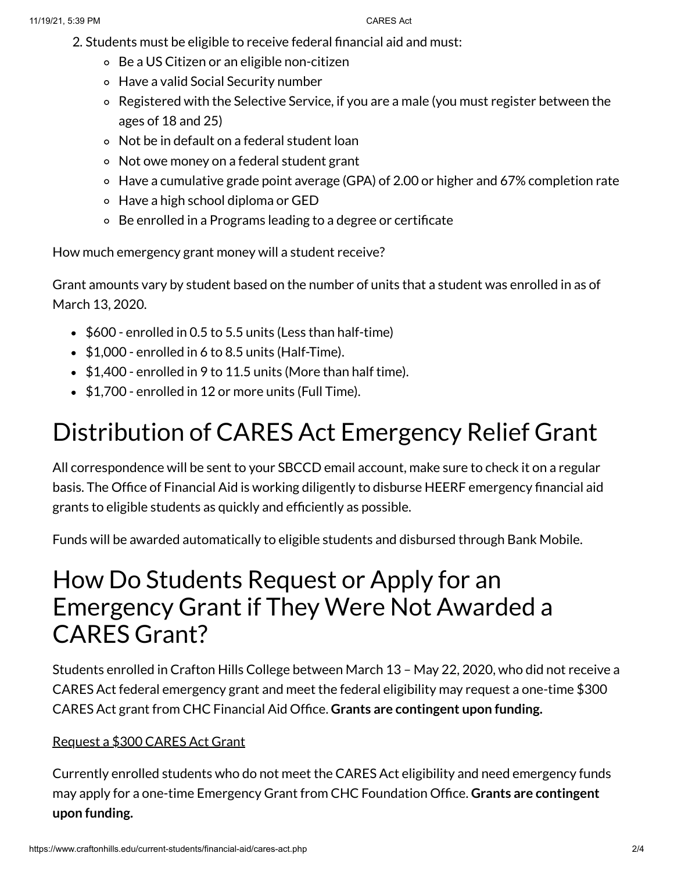- 2. Students must be eligible to receive federal financial aid and must:
	- Be a US Citizen or an eligible non-citizen
	- Have a valid Social Security number
	- Registered with the Selective Service, if you are a male (you must register between the ages of 18 and 25)
	- Not be in default on a federal student loan
	- Not owe money on a federal student grant
	- Have a cumulative grade point average (GPA) of 2.00 or higher and 67% completion rate
	- Have a high school diploma or GED
	- Be enrolled in a Programs leading to a degree or certificate

How much emergency grant money will a student receive?

Grant amounts vary by student based on the number of units that a student was enrolled in as of March 13, 2020.

- $\bullet$  \$600 enrolled in 0.5 to 5.5 units (Less than half-time)
- $\bullet$  \$1,000 enrolled in 6 to 8.5 units (Half-Time).
- $\bullet$  \$1,400 enrolled in 9 to 11.5 units (More than half time).
- \$1,700 enrolled in 12 or more units (Full Time).

# Distribution of CARES Act Emergency Relief Grant

All correspondence will be sent to your SBCCD email account, make sure to check it on a regular basis. The Office of Financial Aid is working diligently to disburse HEERF emergency financial aid grants to eligible students as quickly and efficiently as possible.

Funds will be awarded automatically to eligible students and disbursed through Bank Mobile.

### How Do Students Request or Apply for an Emergency Grant if They Were Not Awarded a CARES Grant?

Students enrolled in Crafton Hills College between March 13 – May 22, 2020, who did not receive a CARES Act federal emergency grant and meet the federal eligibility may request a one-time \$300 CARES Act grant from CHC Financial Aid Office. **Grants are contingent upon funding.**

### [Request](https://www.craftonhills.edu/Apps/sso/?target=cares) a \$300 CARES Act Grant

Currently enrolled students who do not meet the CARES Act eligibility and need emergency funds may apply for a one-time Emergency Grant from CHC Foundation Office. **Grants are contingent upon funding.**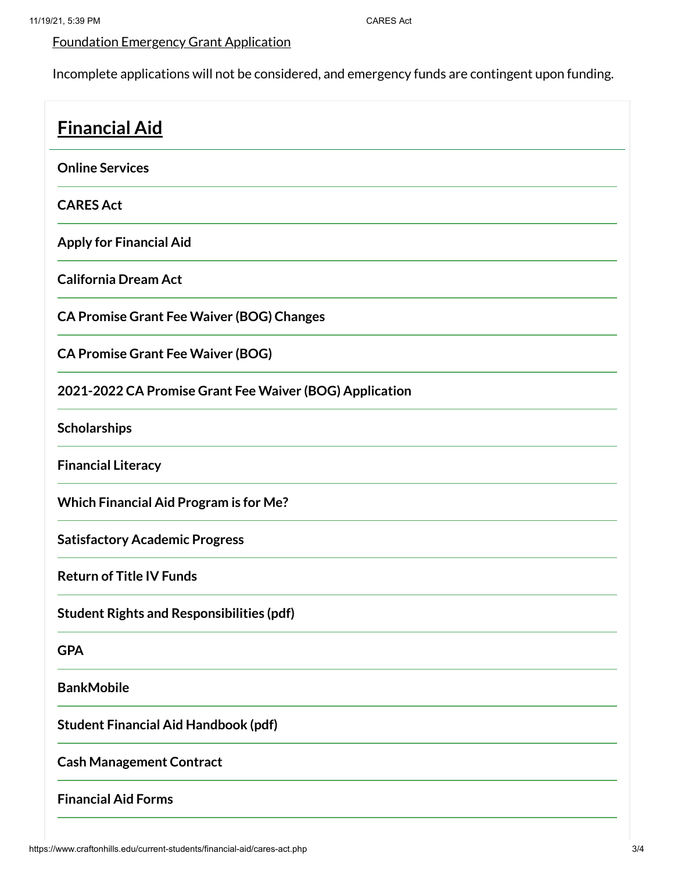### [Foundation](https://laserfiche.craftonhills.edu/Forms/KliL5) Emergency Grant Application

Incomplete applications will not be considered, and emergency funds are contingent upon funding.

| <b>Financial Aid</b>                                    |
|---------------------------------------------------------|
| <b>Online Services</b>                                  |
| <b>CARES Act</b>                                        |
| <b>Apply for Financial Aid</b>                          |
| <b>California Dream Act</b>                             |
| <b>CA Promise Grant Fee Waiver (BOG) Changes</b>        |
| <b>CA Promise Grant Fee Waiver (BOG)</b>                |
| 2021-2022 CA Promise Grant Fee Waiver (BOG) Application |
| Scholarships                                            |
| <b>Financial Literacy</b>                               |
| <b>Which Financial Aid Program is for Me?</b>           |
| <b>Satisfactory Academic Progress</b>                   |
| <b>Return of Title IV Funds</b>                         |
| <b>Student Rights and Responsibilities (pdf)</b>        |
| <b>GPA</b>                                              |
| <b>BankMobile</b>                                       |
| <b>Student Financial Aid Handbook (pdf)</b>             |
| <b>Cash Management Contract</b>                         |
| <b>Financial Aid Forms</b>                              |